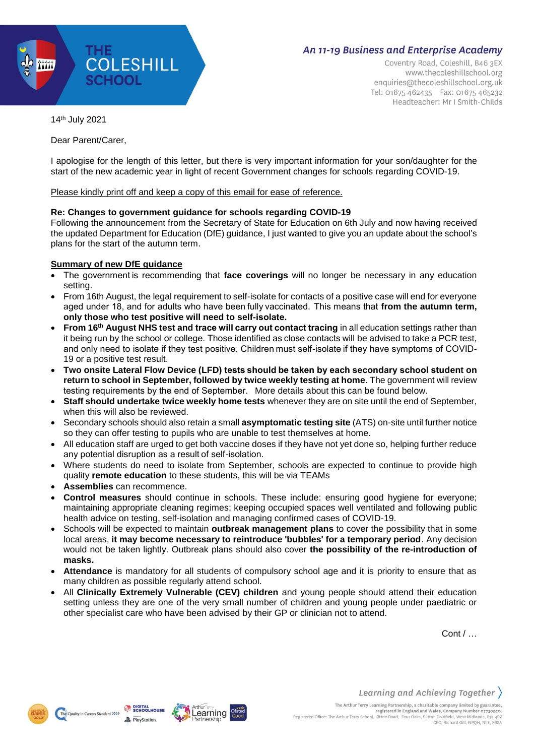

Coventry Road, Coleshill, B46 3EX www.thecoleshillschool.org enquiries@thecoleshillschool.org.uk Tel: 01675 462435 Fax: 01675 465232 Headteacher: Mr I Smith-Childs

14th July 2021

Dear Parent/Carer,

I apologise for the length of this letter, but there is very important information for your son/daughter for the start of the new academic year in light of recent Government changes for schools regarding COVID-19.

Please kindly print off and keep a copy of this email for ease of reference.

### **Re: Changes to government guidance for schools regarding COVID-19**

Following the announcement from the Secretary of State for Education on 6th July and now having received the updated Department for Education (DfE) guidance, I just wanted to give you an update about the school's plans for the start of the autumn term.

## **Summary of new DfE guidance**

- The government is recommending that **face coverings** will no longer be necessary in any education setting.
- From 16th August, the legal requirement to self-isolate for contacts of a positive case will end for everyone aged under 18, and for adults who have been fully vaccinated.  This means that **from the autumn term, only those who test positive will need to self-isolate.**
- **From 16th August NHS test and trace will carry out contact tracing** in all education settings rather than it being run by the school or college. Those identified as close contacts will be advised to take a PCR test, and only need to isolate if they test positive. Children must self-isolate if they have symptoms of COVID-19 or a positive test result.
- **Two onsite Lateral Flow Device (LFD) tests should be taken by each secondary school student on return to school in September, followed by twice weekly testing at home**. The government will review testing requirements by the end of September.  More details about this can be found below.
- **Staff should undertake twice weekly home tests** whenever they are on site until the end of September, when this will also be reviewed.
- Secondary schools should also retain a small **asymptomatic testing site** (ATS) on-site until further notice so they can offer testing to pupils who are unable to test themselves at home.
- All education staff are urged to get both vaccine doses if they have not yet done so, helping further reduce any potential disruption as a result of self-isolation.
- Where students do need to isolate from September, schools are expected to continue to provide high quality **remote education** to these students, this will be via TEAMs
- **Assemblies** can recommence.
- **Control measures** should continue in schools. These include: ensuring good hygiene for everyone; maintaining appropriate cleaning regimes; keeping occupied spaces well ventilated and following public health advice on testing, self-isolation and managing confirmed cases of COVID-19.
- Schools will be expected to maintain **outbreak management plans** to cover the possibility that in some local areas, **it may become necessary to reintroduce 'bubbles' for a temporary period**. Any decision would not be taken lightly. Outbreak plans should also cover **the possibility of the re-introduction of masks.**
- **Attendance** is mandatory for all students of compulsory school age and it is priority to ensure that as many children as possible regularly attend school.
- All **Clinically Extremely Vulnerable (CEV) children** and young people should attend their education setting unless they are one of the very small number of children and young people under paediatric or other specialist care who have been advised by their GP or clinician not to attend.

Arthur

earning

**DIGITAL**<br>UP SCHOOLHOUSE

**P**. PlayStation

Cont / …



The Quality in Careers Standard >>>>>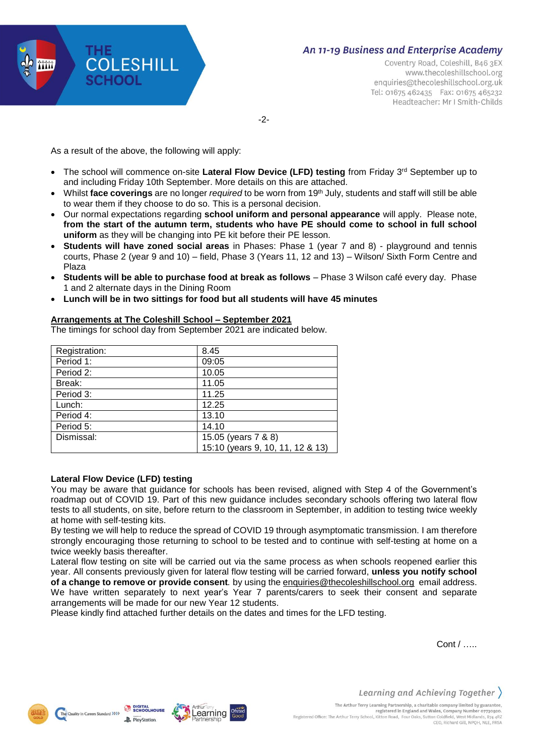

Coventry Road, Coleshill, B46 3EX www.thecoleshillschool.org enquiries@thecoleshillschool.org.uk Tel: 01675 462435 Fax: 01675 465232 Headteacher: Mr I Smith-Childs

-2-

As a result of the above, the following will apply:

- The school will commence on-site Lateral Flow Device (LFD) testing from Friday 3<sup>rd</sup> September up to and including Friday 10th September. More details on this are attached.
- Whilst **face coverings** are no longer *required* to be worn from 19th July, students and staff will still be able to wear them if they choose to do so. This is a personal decision.
- Our normal expectations regarding **school uniform and personal appearance** will apply. Please note, **from the start of the autumn term, students who have PE should come to school in full school uniform** as they will be changing into PE kit before their PE lesson.
- **Students will have zoned social areas** in Phases: Phase 1 (year 7 and 8) playground and tennis courts, Phase 2 (year 9 and 10) – field, Phase 3 (Years 11, 12 and 13) – Wilson/ Sixth Form Centre and Plaza
- **Students will be able to purchase food at break as follows**  Phase 3 Wilson café every day. Phase 1 and 2 alternate days in the Dining Room
- **Lunch will be in two sittings for food but all students will have 45 minutes**

## **Arrangements at The Coleshill School – September 2021**

The timings for school day from September 2021 are indicated below.

| Registration: | 8.45                             |
|---------------|----------------------------------|
| Period 1:     | 09:05                            |
| Period 2:     | 10.05                            |
| Break:        | 11.05                            |
| Period 3:     | 11.25                            |
| Lunch:        | 12.25                            |
| Period 4:     | 13.10                            |
| Period 5:     | 14.10                            |
| Dismissal:    | 15.05 (years 7 & 8)              |
|               | 15:10 (years 9, 10, 11, 12 & 13) |

#### **Lateral Flow Device (LFD) testing**

You may be aware that guidance for schools has been revised, aligned with Step 4 of the Government's roadmap out of COVID 19. Part of this new guidance includes secondary schools offering two lateral flow tests to all students, on site, before return to the classroom in September, in addition to testing twice weekly at home with self-testing kits.

By testing we will help to reduce the spread of COVID 19 through asymptomatic transmission. I am therefore strongly encouraging those returning to school to be tested and to continue with self-testing at home on a twice weekly basis thereafter.

Lateral flow testing on site will be carried out via the same process as when schools reopened earlier this year. All consents previously given for lateral flow testing will be carried forward, **unless you notify school of a change to remove or provide consent***.* by using the [enquiries@thecoleshillschool.org](mailto:enquiries@thecoleshillschool.org) email address. We have written separately to next year's Year 7 parents/carers to seek their consent and separate arrangements will be made for our new Year 12 students.

Please kindly find attached further details on the dates and times for the LFD testing.

Cont / …..



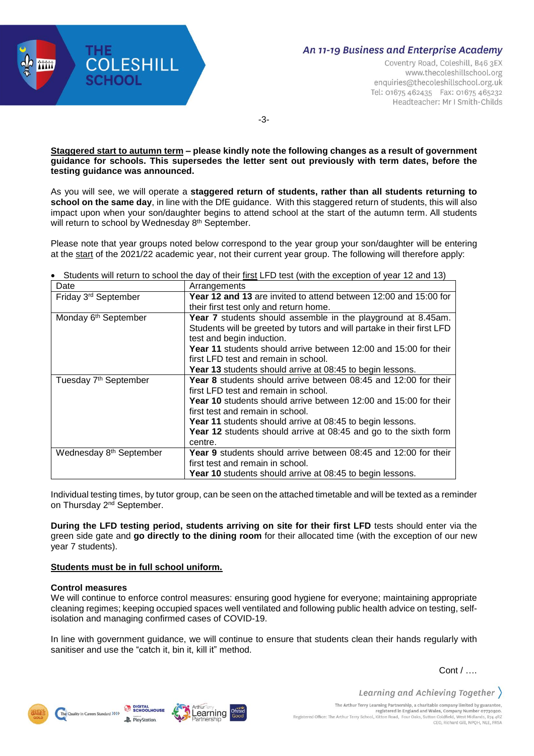

Coventry Road, Coleshill, B46 3EX www.thecoleshillschool.org enquiries@thecoleshillschool.org.uk Tel: 01675 462435 Fax: 01675 465232 Headteacher: Mr I Smith-Childs

-3-

#### **Staggered start to autumn term – please kindly note the following changes as a result of government guidance for schools. This supersedes the letter sent out previously with term dates, before the testing guidance was announced.**

As you will see, we will operate a **staggered return of students, rather than all students returning to school on the same day**, in line with the DfE guidance. With this staggered return of students, this will also impact upon when your son/daughter begins to attend school at the start of the autumn term. All students will return to school by Wednesday 8<sup>th</sup> September.

Please note that year groups noted below correspond to the year group your son/daughter will be entering at the start of the 2021/22 academic year, not their current year group. The following will therefore apply:

| Date                                | Arrangements                                                            |  |  |  |
|-------------------------------------|-------------------------------------------------------------------------|--|--|--|
| Friday 3 <sup>rd</sup> September    | <b>Year 12 and 13</b> are invited to attend between 12:00 and 15:00 for |  |  |  |
|                                     | their first test only and return home.                                  |  |  |  |
| Monday 6 <sup>th</sup> September    | Year 7 students should assemble in the playground at 8.45am.            |  |  |  |
|                                     | Students will be greeted by tutors and will partake in their first LFD  |  |  |  |
|                                     | test and begin induction.                                               |  |  |  |
|                                     | Year 11 students should arrive between 12:00 and 15:00 for their        |  |  |  |
|                                     | first LFD test and remain in school.                                    |  |  |  |
|                                     | Year 13 students should arrive at 08:45 to begin lessons.               |  |  |  |
| Tuesday 7 <sup>th</sup> September   | <b>Year 8</b> students should arrive between 08:45 and 12:00 for their  |  |  |  |
|                                     | first LFD test and remain in school.                                    |  |  |  |
|                                     | <b>Year 10</b> students should arrive between 12:00 and 15:00 for their |  |  |  |
|                                     | first test and remain in school.                                        |  |  |  |
|                                     | <b>Year 11</b> students should arrive at 08:45 to begin lessons.        |  |  |  |
|                                     | <b>Year 12</b> students should arrive at 08:45 and go to the sixth form |  |  |  |
|                                     | centre.                                                                 |  |  |  |
| Wednesday 8 <sup>th</sup> September | <b>Year 9</b> students should arrive between 08:45 and 12:00 for their  |  |  |  |
|                                     | first test and remain in school.                                        |  |  |  |
|                                     | <b>Year 10</b> students should arrive at 08:45 to begin lessons.        |  |  |  |

• Students will return to school the day of their first LFD test (with the exception of year 12 and 13)

Individual testing times, by tutor group, can be seen on the attached timetable and will be texted as a reminder on Thursday 2<sup>nd</sup> September.

**During the LFD testing period, students arriving on site for their first LFD** tests should enter via the green side gate and **go directly to the dining room** for their allocated time (with the exception of our new year 7 students).

## **Students must be in full school uniform.**

## **Control measures**

We will continue to enforce control measures: ensuring good hygiene for everyone; maintaining appropriate cleaning regimes; keeping occupied spaces well ventilated and following public health advice on testing, selfisolation and managing confirmed cases of COVID-19.

In line with government guidance, we will continue to ensure that students clean their hands regularly with sanitiser and use the "catch it, bin it, kill it" method.

Cont / ….

Learning and Achieving Together



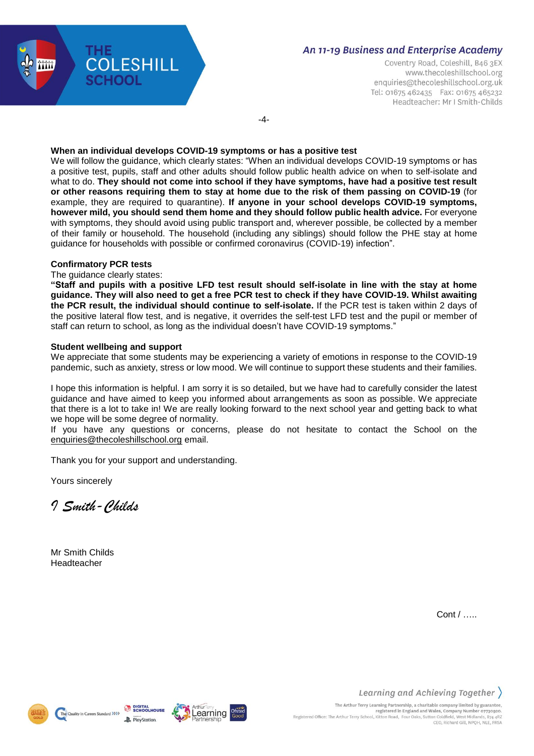

Coventry Road, Coleshill, B46 3EX www.thecoleshillschool.org enquiries@thecoleshillschool.org.uk Tel: 01675 462435 Fax: 01675 465232 Headteacher: Mr I Smith-Childs

-4-

### **When an individual develops COVID-19 symptoms or has a positive test**

We will follow the guidance, which clearly states: "When an individual develops COVID-19 symptoms or has a positive test, pupils, staff and other adults should follow public health advice on when to self-isolate and what to do. **They should not come into school if they have symptoms, have had a positive test result or other reasons requiring them to stay at home due to the risk of them passing on COVID-19** (for example, they are required to quarantine). **If anyone in your school develops COVID-19 symptoms, however mild, you should send them home and they should follow public health advice.** For everyone with symptoms, they should avoid using public transport and, wherever possible, be collected by a member of their family or household. The household (including any siblings) should follow the PHE stay at home guidance for households with possible or confirmed coronavirus (COVID-19) infection".

### **Confirmatory PCR tests**

### The guidance clearly states:

"Staff and pupils with a positive LFD test result should self-isolate in line with the stay at home guidance. They will also need to get a free PCR test to check if they have COVID-19. Whilst awaiting **the PCR result, the individual should continue to self-isolate.** If the PCR test is taken within 2 days of the positive lateral flow test, and is negative, it overrides the self-test LFD test and the pupil or member of staff can return to school, as long as the individual doesn't have COVID-19 symptoms."

### **Student wellbeing and support**

We appreciate that some students may be experiencing a variety of emotions in response to the COVID-19 pandemic, such as anxiety, stress or low mood. We will continue to support these students and their families.

I hope this information is helpful. I am sorry it is so detailed, but we have had to carefully consider the latest guidance and have aimed to keep you informed about arrangements as soon as possible. We appreciate that there is a lot to take in! We are really looking forward to the next school year and getting back to what we hope will be some degree of normality.

If you have any questions or concerns, please do not hesitate to contact the School on the [enquiries@thecoleshillschool.org](mailto:enquiries@thecoleshillschool.org) email.

Thank you for your support and understanding.

Yours sincerely

*I Smith-Childs*

Mr Smith Childs Headteacher

Cont / …..